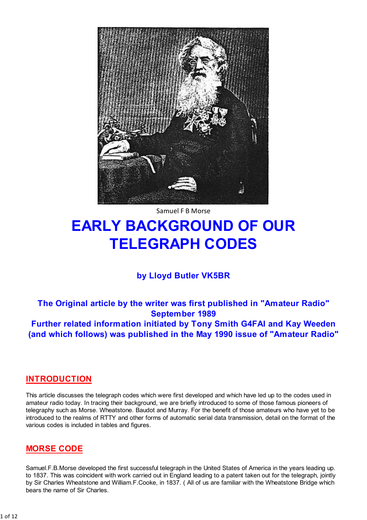

Samuel F B Morse

# **EARLY BACKGROUND OF OUR TELEGRAPH CODES**

# by Lloyd Butler VK5BR

The Original article by the writer was first published in "Amateur Radio" **September 1989** Further related information initiated by Tony Smith G4FAI and Kay Weeden (and which follows) was published in the May 1990 issue of "Amateur Radio"

### **INTRODUCTION**

This article discusses the telegraph codes which were first developed and which have led up to the codes used in amateur radio today. In tracing their background, we are briefly introduced to some of those famous pioneers of telegraphy such as Morse. Wheatstone. Baudot and Murray. For the benefit of those amateurs who have yet to be introduced to the realms of RTTY and other forms of automatic serial data transmission, detail on the format of the various codes is included in tables and figures.

### **MORSE CODE**

Samuel.F.B.Morse developed the first successful telegraph in the United States of America in the years leading up. to 1837. This was coincident with work carried out in England leading to a patent taken out for the telegraph, jointly by Sir Charles Wheatstone and William F. Cooke, in 1837. (All of us are familiar with the Wheatstone Bridge which bears the name of Sir Charles.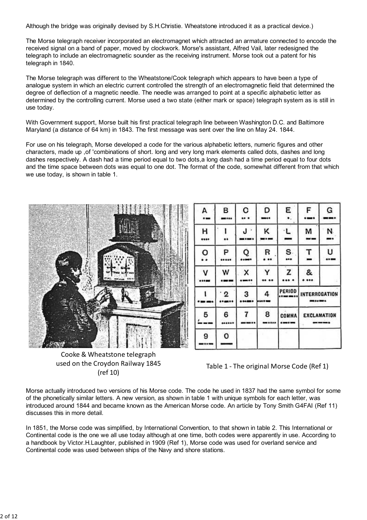Although the bridge was originally devised by S.H.Christie. Wheatstone introduced it as a practical device.)

The Morse telegraph receiver incorporated an electromagnet which attracted an armature connected to encode the received signal on a band of paper, moved by clockwork. Morse's assistant, Alfred Vail, later redesigned the telegraph to include an electromagnetic sounder as the receiving instrument. Morse took out a patent for his telegraph in 1840.

The Morse telegraph was different to the Wheatstone/Cook telegraph which appears to have been a type of analogue system in which an electric current controlled the strength of an electromagnetic field that determined the degree of deflection of a magnetic needle. The needle was arranged to point at a specific alphabetic letter as determined by the controlling current. Morse used a two state (either mark or space) telegraph system as is still in use today.

With Government support, Morse built his first practical telegraph line between Washington D.C. and Baltimore Maryland (a distance of 64 km) in 1843. The first message was sent over the line on May 24. 1844.

For use on his telegraph, Morse developed a code for the various alphabetic letters, numeric figures and other characters, made up , of 'combinations of short. long and very long mark elements called dots, dashes and long dashes respectively. A dash had a time period equal to two dots a long dash had a time period equal to four dots and the time space between dots was equal to one dot. The format of the code, somewhat different from that which we use today, is shown in table 1.



F А в c D Ε G ... -... --- $\bullet$  . į .... ı н J٠ κ L м N .... .. -------... P Q R s т U o .....  $...$ ... .... . . x z w Y & v .....  $......$ .... . ... .....  $\cdots$ **PERIOD**  $\cdot$  2 4 t 3 **INTERROGATION** ..... ------...... .  $-$ 7 6 8 5 COMMA **EXCLAMATION** ......  $......$  $- - - -$ 9 O

Cooke & Wheatstone telegraph used on the Croydon Railway 1845  $(ref 10)$ 

Table 1 - The original Morse Code (Ref 1)

Morse actually introduced two versions of his Morse code. The code he used in 1837 had the same symbol for some of the phonetically similar letters. A new version, as shown in table 1 with unique symbols for each letter, was introduced around 1844 and became known as the American Morse code. An article by Tony Smith G4FAI (Ref 11) discusses this in more detail.

In 1851, the Morse code was simplified, by International Convention, to that shown in table 2. This International or Continental code is the one we all use today although at one time, both codes were apparently in use. According to a handbook by Victor.H.Laughter, published in 1909 (Ref 1), Morse code was used for overland service and Continental code was used between ships of the Navy and shore stations.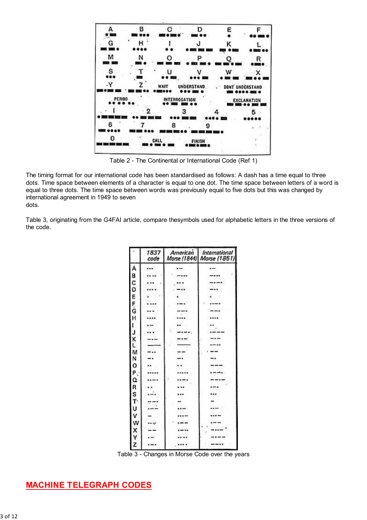

Table 2 - The Continental or International Code (Ref 1)

The timing format for our international code has been standardised as follows: A dash has a time equal to three dots. Time space between elements of a character is equal to one dot. The time space between letters of a word is equal to three dots. The time space between words was previously equal to five dots but this was changed by international agreement in 1949 to seven dots.

Table 3, originating from the G4FAI article, compare thesymbols used for alphabetic letters in the three versions of the code.

| £                | 1837<br>code | American | International<br>Morse (1844) Morse (1851) |
|------------------|--------------|----------|--------------------------------------------|
|                  |              |          |                                            |
| ABCDEFG          |              |          |                                            |
|                  |              |          |                                            |
|                  |              |          |                                            |
|                  |              |          |                                            |
|                  |              |          |                                            |
|                  |              |          |                                            |
| H                |              |          |                                            |
|                  |              |          |                                            |
|                  |              |          |                                            |
| J<br>K           |              |          |                                            |
|                  |              |          |                                            |
|                  |              |          |                                            |
| <b>N<br/>220</b> |              |          |                                            |
|                  |              |          |                                            |
| P                |              |          |                                            |
|                  |              |          |                                            |
| Q<br>R<br>S      |              |          |                                            |
|                  |              |          |                                            |
| T.<br>U          |              |          |                                            |
|                  |              |          |                                            |
| v                |              |          |                                            |
|                  |              |          |                                            |
| $x \times x$     |              |          |                                            |
|                  |              |          |                                            |
|                  |              |          |                                            |

Table 3 - Changes in Morse Code over the years

# **MACHINE TELEGRAPH CODES**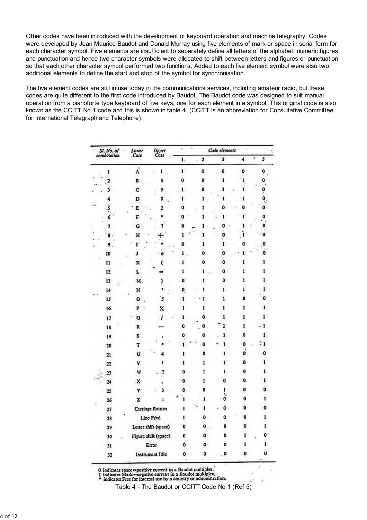Other codes have been introduced with the development of keyboard operation and machine telegraphy. Codes were developed by Jean Maurice Baudot and Donald Murray using five elements of mark or space in serial form for each character symbol. Five elements are insufficient to separately define all letters of the alphabet, numeric figures and punctuation and hence two character symbols were allocated to shift between letters and figures or punctuation so that each other character symbol performed two functions. Added to each five element symbol were also two additional elements to define the start and stop of the symbol for synchronisation.

The five element codes are still in use today in the communications services, including amateur radio, but these codes are quite different to the first code introduced by Baudot. The Baudot code was designed to suit manual operation from a pianoforte type keyboard of five keys, one for each element in a symbol. This original code is also known as the CCITT No 1 code and this is shown in table 4. (CCITT is an abbreviation for Consultative Committee for International Telegraph and Telephone).

| Sl. No. of |                 | Lower                    | Upper<br>Case          | ٠            |         |              | Code elements        |                  |  |  |
|------------|-----------------|--------------------------|------------------------|--------------|---------|--------------|----------------------|------------------|--|--|
|            | combination     | . Case                   |                        | 1.           | 2<br>ä, | 3            | $\ddot{\phantom{1}}$ | ×<br>5           |  |  |
|            | ı               | $\pmb{\dot{\mathsf{A}}}$ | $\mathbf{I}$           | Ľ            | 0       | $\mathbf 0$  | 0                    | 0                |  |  |
|            |                 | B                        | 8                      | o            | 0       | ı            |                      | ٥                |  |  |
|            | 3               | C                        | 9                      | $\mathbf{1}$ | 0       | 1            | 1                    |                  |  |  |
|            | 4               | D                        | 0                      | ı            | 1       | ı            | 1                    | $\ddot{\bullet}$ |  |  |
|            | Ş               | E                        | 2                      | 0            | 1       | 0            | 0                    | 0                |  |  |
|            | 6               | F                        |                        | 0            | 1       | ı            | I                    | 0                |  |  |
|            | 7               | G                        |                        | 0            | 1       | 0            | ı                    | 0                |  |  |
|            | 8               | H                        |                        | ı            | ı       | o            | ï                    | 0                |  |  |
|            | 9               | r                        |                        | 0            | 1       | 1            | o                    | o                |  |  |
|            | 10              | J                        | 6                      | 1            | 0       | 0            | 1                    | 0                |  |  |
|            | 11              | K                        |                        |              | 0       | 0            | 1                    | ı                |  |  |
|            | 12              | L                        |                        | ı            | 1       | 0            | ı                    | $\mathbf{I}$     |  |  |
|            | 13              | M.                       |                        | 0            | ĩ       | ٥            | ı                    | $\mathbf{I}$     |  |  |
|            | 14              | N                        |                        | O.           | 1       | ī            | t                    | ı.               |  |  |
|            | 15              | ۰                        | 5                      | ì            | 1       | 1            | 0                    | 0                |  |  |
|            | 16              | P<br>ä                   | %                      | 1            | ī       | I            | 1                    | ı                |  |  |
|            | 17 <sup>°</sup> | Q                        |                        | 1            | 0       | ı            | 1                    | ı                |  |  |
|            | 18              | R.                       |                        | o            | 0       | ı            | ī                    | 1                |  |  |
|            | 19              | s                        |                        | o            | ٥       | 1            | 0                    | 1                |  |  |
|            | 20              | T                        |                        | ı            | o       | $\mathbf{I}$ | 0                    | $\cdot$          |  |  |
|            | 21              | U                        |                        | r,           | 0       | I.           | O                    | ٥                |  |  |
|            | 22              | v                        |                        | î            | ı       | t            | ö                    | $\mathbf{I}$     |  |  |
|            | 23              | w                        |                        | 0            | 1       | r            | 0                    | t                |  |  |
|            | 24              | $\bf x$                  |                        | 0            | 1       | o            | 0                    | ī.               |  |  |
|            | 25              | Y                        |                        | 0            | 0       | 1<br>۹.      | 0                    | 0                |  |  |
|            | 26              | z                        | ٠                      | Ĺ            | ı       | ٥            | ٥                    | $\mathbf{1}$     |  |  |
|            | 27              |                          | Carriage Return        | L            | ı       | 0            | 0                    | o                |  |  |
|            | 28              |                          | Line Feed              | 1            | 0       | 0            | 0                    | 1                |  |  |
|            | 29              |                          | Letter shift (space)   | o            | 0       | 0            | ۰                    | 1                |  |  |
|            | 30              |                          | Figure shift (space)   | o            | ٥       | 0            | ı                    | 0                |  |  |
|            | 31              |                          | Error                  | 0            | ٥       | 0            | I                    | 1                |  |  |
|            | 32              |                          | <b>Instrument Idle</b> | o            | o       | 0            | 0                    | ۰                |  |  |

0 indicates space=positive current in a Baudot multiplex.<br>1 indicates Mark=negative current in a Baudot multiplex.<br>\* indicates Free for internal use by a country or administration.

Table 4 - The Baudot or CCITT Code No 1 (Ref 5)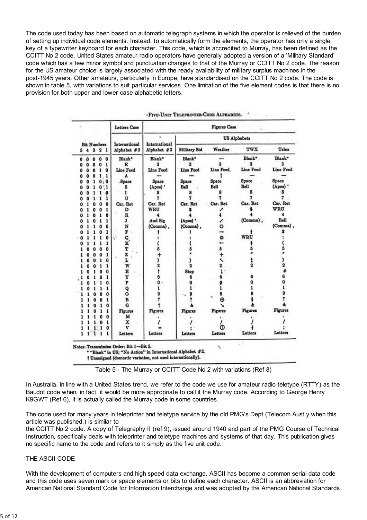The code used today has been based on automatic telegraph systems in which the operator is relieved of the burden of setting up individual code elements. Instead, to automatically form the elements, the operator has only a single key of a typewriter keyboard for each character. This code, which is accredited to Murray, has been defined as the CCITT No 2 code. United States amateur radio operators have generally adopted a version of a 'Military Standard' code which has a few minor symbol and punctuation changes to that of the Murray or CCITT No 2 code. The reason for the US amateur choice is largely associated with the ready availability of military surplus machines in the post-1945 years. Other amateurs, particularly in Europe, have standardised on the CCITT No 2 code. The code is shown in table 5, with variations to suit particular services. One limitation of the five element codes is that there is no provision for both upper and lower case alphabetic letters.

|                    | <b>Letters Case</b> |                | Figures Case            |                     |                              |                |                |                         |           |                         |
|--------------------|---------------------|----------------|-------------------------|---------------------|------------------------------|----------------|----------------|-------------------------|-----------|-------------------------|
| <b>Bit Numbers</b> |                     | International  |                         | <b>US Alphabets</b> |                              |                |                |                         |           |                         |
| 5                  |                     | 4 <sup>3</sup> | $\overline{\mathbf{2}}$ | 1                   | International<br>Alphabet #2 | Alphabet #2    | Military Std   | Weather                 | TWX       | Telex                   |
| 0                  | O                   | 0              | 0                       | 0                   | Blank*                       | Blank*         | Blank*         |                         | Blank*    | Blank*                  |
| Ō                  | Ō                   | 0              | 0                       | 1                   | E                            | ä.             | R.             |                         |           | ä.                      |
| o                  | Ō                   | o              | 1                       | $\bf{0}$            | Line Feed                    | Line Feed      | Line Feed      | Line Feed.              | Line Feed | Line Feed               |
| 0                  | 0                   | o              | 1                       | 1                   | A                            |                |                |                         |           |                         |
| ٥                  | o                   | ı              | 0                       | : 0                 | .Space                       | Space          | Space          | Space                   | Space     | Space                   |
| ٥                  | 0                   |                | 0                       | :1                  | g                            | (Apos)'        | Bell           | Bell                    | Bell      | (Apos) '                |
| ٥                  | 0                   |                |                         | o                   | 1                            |                |                |                         |           | 8                       |
| o                  | o                   |                | ı                       | ı                   | п                            |                |                |                         |           | 7                       |
| o                  |                     | O              | o                       | 0                   | Car. Ret                     | Car. Ret       | Car. Ret       | Car. Ret                | Car. Ret  | Car. Ret                |
| ถ                  |                     |                | 0                       | 1                   | D                            | WRU            |                |                         |           | WRU                     |
|                    |                     |                | 1                       | Ô                   | R                            |                |                |                         |           |                         |
|                    |                     |                | ı                       | ı                   | I                            | Aud Sig        | (Apos) *       |                         | (Comma),  | Bell                    |
|                    |                     |                |                         | Ō                   | N                            | (Comma),       | (Comma),       | ۰                       |           | (Comma),                |
|                    |                     |                | 0                       | ı                   | Р.                           |                |                | →                       |           |                         |
| 0                  |                     |                |                         | Ö                   | $\tilde{\psi}$<br>Q.         |                |                | ۰                       | WRU       |                         |
| 0                  |                     |                | ı                       | ı                   | к                            |                |                | -                       |           |                         |
|                    |                     | o              | 0                       | 0                   | T                            |                |                | $\overline{\mathbf{5}}$ |           |                         |
|                    |                     | 0              | O                       | ı                   | z                            |                |                | $\ddot{}$               |           |                         |
|                    |                     | 0              | 1                       | O                   | L                            | )              |                | ≺                       |           |                         |
|                    | Q                   | O              | ı                       | 1                   | W                            | 2              | 9              | $\overline{\mathbf{2}}$ |           | $\overline{\mathbf{2}}$ |
|                    | o                   |                | O                       | o                   | Ħ                            |                | Stop           |                         |           |                         |
|                    |                     |                |                         | 1                   | Y                            | 6              |                |                         |           |                         |
|                    | o                   |                |                         | ٥                   | P                            | o              |                |                         |           |                         |
|                    |                     |                |                         | 1                   | Q                            |                |                |                         |           |                         |
|                    |                     | 0              | 0                       | 0                   | O                            |                |                |                         |           |                         |
|                    |                     | ٥              | Ō                       | 1                   | B                            |                |                |                         |           |                         |
|                    |                     | o              | 1                       | $\mathbf{o}$        | G                            |                |                |                         |           |                         |
|                    |                     |                |                         | ı                   | <b>Figures</b>               | <b>Figures</b> | <b>Figures</b> | Figures                 | Figures   | <b>Figures</b>          |
|                    |                     | 1              |                         | o                   | м                            |                |                |                         |           |                         |
|                    |                     |                | Ō                       | 1                   | x                            |                |                |                         |           |                         |
|                    |                     |                |                         | 0                   | v                            |                |                | መ                       |           |                         |
|                    |                     |                |                         |                     | Letters                      | Letters        | Letters        | Letters                 | Letters   | Letters                 |

-FIVE-UNIT TELEPRINTER-CODE ALPHABETS.

Table 5 - The Murray or CCITT Code No 2 with variations (Ref 8)

In Australia, in line with a United States trend, we refer to the code we use for amateur radio teletype (RTTY) as the Baudot code when, in fact, it would be more appropriate to call it the Murray code. According to George Henry K9GWT (Ref 6), it is actually called the Murray code in some countries.

The code used for many years in teleprinter and teletype service by the old PMG's Dept (Telecom Aust. v when this article was published.) is similar to

the CCITT No 2 code. A copy of Telegraphy II (ref 9), issued around 1940 and part of the PMG Course of Technical Instruction, specifically deals with teleprinter and teletype machines and systems of that day. This publication gives no specific name to the code and refers to it simply as the five unit code.

#### THE ASCILCODE

With the development of computers and high speed data exchange, ASCII has become a common serial data code and this code uses seven mark or space elements or bits to define each character. ASCII is an abbreviation for American National Standard Code for Information Interchange and was adopted by the American National Standards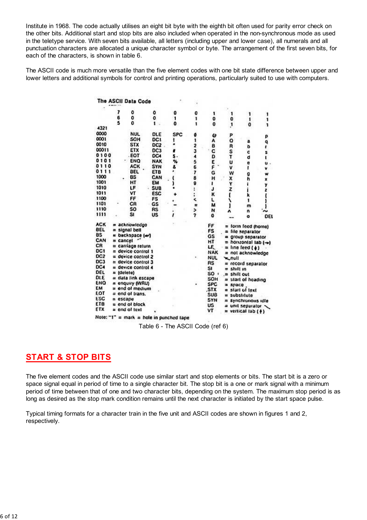Institute in 1968. The code actually utilises an eight bit byte with the eighth bit often used for parity error check on the other bits. Additional start and stop bits are also included when operated in the non-synchronous mode as used in the teletype service. With seven bits available, all letters (including upper and lower case), all numerals and all punctuation characters are allocated a unique character symbol or byte. The arrangement of the first seven bits, for each of the characters, is shown in table 6.

The ASCII code is much more versatile than the five element codes with one bit state difference between upper and lower letters and additional symbols for control and printing operations, particularly suited to use with computers.

|                 |              | The ASCII Data Code    |                                         |            |        |            |               |                                |     |
|-----------------|--------------|------------------------|-----------------------------------------|------------|--------|------------|---------------|--------------------------------|-----|
|                 | 7            | 0                      | ٥                                       | 0          | 0      | 1          |               |                                |     |
|                 | 6            | 0                      | ٥                                       | 1          | 1      | 0          | 0             | 1                              |     |
|                 | 5            | o                      | 1                                       | 0          | ۱      | 0          | <sup>1</sup>  | o                              |     |
| 4321            |              |                        |                                         |            |        |            |               |                                |     |
| 0000            |              | <b>NUL</b>             | DLE                                     | <b>SPC</b> | ø      | w          | P             |                                | ρ   |
| 0001            |              | SOH                    | DC1                                     | ı          | ï      | A          | o             | a                              | q   |
| 0010            |              | <b>STX</b>             | DC2                                     |            |        | B          | R             | Þ                              | ı   |
| 00011           |              | ETX                    | DC3                                     |            |        | C          | S             | c                              | s   |
| 0100            |              | EOT                    | DC4                                     |            | 234567 | D          | T             | đ                              | Ľ   |
| 0101            |              | ENO                    | <b>NAK</b>                              | ٧.         |        | E          | U             | e                              | u   |
| 0110            |              | <b>ACK</b>             | <b>SYN</b>                              | Ł.         |        | F          | v             | ï                              | v   |
| 0111            |              | <b>BEL</b>             | ETB                                     |            |        | G          | w             |                                | w   |
| 1000            |              | BS                     | CAN                                     | C          |        | н          | x             | g<br>h                         |     |
| 1001            |              | нт                     | EM                                      | 1          | 8<br>9 | 1          | Y             |                                |     |
| 1010            |              | LF                     | <b>SUB</b>                              |            |        | J          | Z             |                                | z   |
| 1011            |              | ٧T                     | <b>ESC</b>                              |            |        | ĸ          | t             | k                              |     |
| 1100            |              | FF                     | FS                                      |            |        | L          |               | 1                              |     |
| 1101            |              | СR                     | GS                                      |            |        | м          |               | m                              |     |
| 1110            |              | so                     | <b>RS</b>                               |            |        | N          |               | n                              |     |
| 1111            |              | Sı                     | US                                      |            |        | 0          |               | o                              | DEL |
| <b>ACK</b>      |              | = acknowledge          |                                         |            |        | FF         |               | form feed (horne)              |     |
| <b>BEL</b>      |              | $=$ signal bell        |                                         |            |        | FS         |               | = file separator               |     |
| <b>BS</b>       |              | = backspace (-)        |                                         |            |        | GS         |               | a group separator              |     |
| CAN             | $=$ cancel   |                        |                                         |            |        | нT         |               | $=$ horizonial lab $(-)$       |     |
| CR              |              | = carriage return      |                                         |            |        | LF.        |               | $=$ line leed ( $\downarrow$ ) |     |
| DC1             |              | = device control 1     |                                         |            |        | <b>NAK</b> |               | = not acknowledge              |     |
| DC <sub>2</sub> |              | $=$ device control 2   |                                         |            |        | <b>NUL</b> | m_null        |                                |     |
| DC3             |              | $=$ device control $3$ |                                         |            |        | RS         |               | $=$ record separator           |     |
| DC4             |              | $=$ device control 4   |                                         |            |        | SI         | shill in<br>۰ |                                |     |
| DEL             | $=$ (delete) |                        |                                         |            |        | SO         | $=$ shill out |                                |     |
| <b>DLE</b>      |              | = data link escape     |                                         |            |        | SOH        |               | = start of heading             |     |
| ENQ             |              | = enquiry (WRU)        |                                         |            |        | <b>SPC</b> | space<br>≊    |                                |     |
| EМ              |              | $=$ end of medium      |                                         |            |        | .STX       |               | start of lext                  |     |
| EOT             |              | = end of trans.        |                                         |            |        | <b>SUB</b> | ÷             | substitute                     |     |
| <b>ESC</b>      | $= escapu$   |                        |                                         |            |        | SYN        |               | synchronous idle               |     |
| ETB             |              | = end of block         |                                         |            |        | บร         |               | unit separator                 |     |
| ETX             |              | $=$ end of text        |                                         |            |        | ٧T         |               | vertical lab (+)               |     |
|                 |              |                        | Note: "1" = mark = hole in punched tape |            |        |            |               |                                |     |

Table 6 - The ASCII Code (ref 6)

### **START & STOP BITS**

The five element codes and the ASCII code use similar start and stop elements or bits. The start bit is a zero or space signal equal in period of time to a single character bit. The stop bit is a one or mark signal with a minimum period of time between that of one and two character bits, depending on the system. The maximum stop period is as long as desired as the stop mark condition remains until the next character is initiated by the start space pulse.

Typical timing formats for a character train in the five unit and ASCII codes are shown in figures 1 and 2, respectively.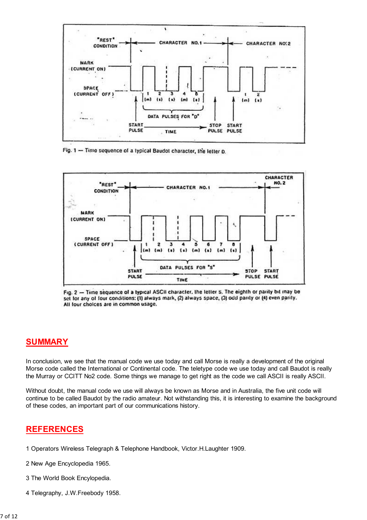

Fig. 1 - Time sequence of a typical Baudot character, the letter D.



Fig. 2 - Time sequence of a typical ASCII character, the letter S. The eighth or parity bit may be set for any of four conditions: (1) always mark, (2) always space, (3) odd parity or (4) even parity. All lour choices are in common usage.

### **SUMMARY**

In conclusion, we see that the manual code we use today and call Morse is really a development of the original Morse code called the International or Continental code. The teletype code we use today and call Baudot is really the Murray or CCITT No2 code. Some things we manage to get right as the code we call ASCII is really ASCII.

Without doubt, the manual code we use will always be known as Morse and in Australia, the five unit code will continue to be called Baudot by the radio amateur. Not withstanding this, it is interesting to examine the background of these codes, an important part of our communications history.

### **REFERENCES**

- 1 Operators Wireless Telegraph & Telephone Handbook, Victor.H.Laughter 1909.
- 2 New Age Encyclopedia 1965.
- 3 The World Book Encylopedia.
- 4 Telegraphy, J.W.Freebody 1958.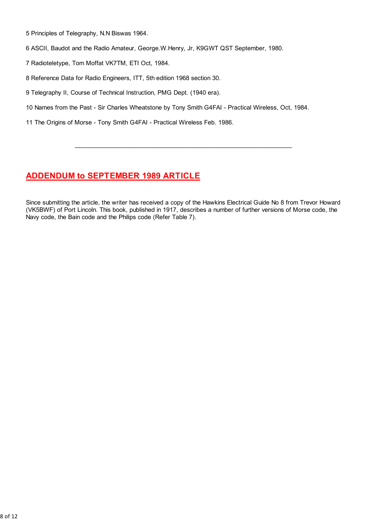5 Principles of Telegraphy, N.N Biswas 1964.

6 ASCII, Baudot and the Radio Amateur, George.W.Henry, Jr, K9GWT QST September, 1980.

7 Radioteletype, Tom Moffat VK7TM, ETI Oct, 1984.

8 Reference Data for Radio Engineers, ITT, 5th edition 1968 section 30.

9 Telegraphy II, Course of Technical Instruction, PMG Dept. (1940 era).

10 Names from the Past - Sir Charles Wheatstone by Tony Smith G4FAI - Practical Wireless, Oct, 1984.

11 The Origins of Morse - Tony Smith G4FAI - Practical Wireless Feb. 1986.

# **ADDENDUM to SEPTEMBER 1989 ARTICLE**

Since submitting the article, the writer has received a copy of the Hawkins Electrical Guide No 8 from Trevor Howard (VK5BWF) of Port Lincoln. This book, published in 1917, describes a number of further versions of Morse code, the Navy code, the Bain code and the Philips code (Refer Table 7).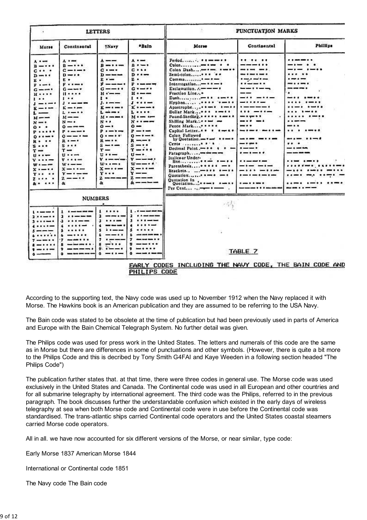|                                                                                                                                                                                                                                                                                                                                                                         |                                                                                                                                                                                                                                                                                                                                                                                                                                                  | <b>LETTERS</b>                                                                                                                                                                                                                                                                                                                                                                                                                                                |                                                                                                                                                                                                                                                                                                                                                                                                                     |                                                                                                                                                                                                                                                                                                                                                                                                                                                                                                                                        | PUNCTUATION MARKS                                                                                                                                                                                                                                                 |                                                                                                                                             |
|-------------------------------------------------------------------------------------------------------------------------------------------------------------------------------------------------------------------------------------------------------------------------------------------------------------------------------------------------------------------------|--------------------------------------------------------------------------------------------------------------------------------------------------------------------------------------------------------------------------------------------------------------------------------------------------------------------------------------------------------------------------------------------------------------------------------------------------|---------------------------------------------------------------------------------------------------------------------------------------------------------------------------------------------------------------------------------------------------------------------------------------------------------------------------------------------------------------------------------------------------------------------------------------------------------------|---------------------------------------------------------------------------------------------------------------------------------------------------------------------------------------------------------------------------------------------------------------------------------------------------------------------------------------------------------------------------------------------------------------------|----------------------------------------------------------------------------------------------------------------------------------------------------------------------------------------------------------------------------------------------------------------------------------------------------------------------------------------------------------------------------------------------------------------------------------------------------------------------------------------------------------------------------------------|-------------------------------------------------------------------------------------------------------------------------------------------------------------------------------------------------------------------------------------------------------------------|---------------------------------------------------------------------------------------------------------------------------------------------|
| Morse                                                                                                                                                                                                                                                                                                                                                                   | Continental                                                                                                                                                                                                                                                                                                                                                                                                                                      | <b>TNary</b>                                                                                                                                                                                                                                                                                                                                                                                                                                                  | *Balp                                                                                                                                                                                                                                                                                                                                                                                                               | Morse                                                                                                                                                                                                                                                                                                                                                                                                                                                                                                                                  | Continental                                                                                                                                                                                                                                                       | Phillips                                                                                                                                    |
| A<br>$B - r + r$<br>$c \cdots$<br>$D - 1$<br>显 =<br>$P - -$<br>$C \rightarrow \rightarrow$<br>$\mathbf{H}$<br>$1 \cdot \cdot$<br>$J - I - I$<br>$k - r -$<br>$\mathbf{L}$<br>$M \rightarrow -$<br>$N = 1$<br>0.1<br><b>P</b><br>0<br>R.<br>8.004<br>$T =$<br>$11 - 1 =$<br>$V \cdot \cdot \cdot =$<br>$w \cdot - -$<br>$x \rightarrow x$<br><b>Y</b><br>7.11.1<br>$k$ . | $A + -$<br>$B - 1 + 6$<br>$c - r - r$<br>$D - P$<br>в.<br><b><i><u><i><u><b>P</b></u></i></u> x x x x x x x x x x x x x x x x x x x x</i> </b><br>$0 - - -$<br>11<br>$1 - 1$<br>$1 - - - -$<br>$K - H$<br>$L + - +$<br>$M \rightarrow -$<br>$N - r$<br>$0 - 1$<br>$P_{1}$ and an analysis<br>$0 - -1 -$<br>$R - 1$<br>$s \leftrightarrow s$<br>$T =$<br>$11 - 11$<br>$v + u + v$<br>$w \cdot - -$<br>$x - y - z$<br>$Y = I - W$<br>$2 - -$<br>s. | $\lambda$ --<br>$B = 1 + m$<br>$C + m +$<br>$D = -1$<br>P.<br>$\vec{r}$ ----<br>$G \rightarrow \cdots$<br>$H + - -$<br>$\mathbf{r}$<br>$1.1 - 1$<br>$k = -1$<br>$L = 1$<br>M . - me me s<br>N<br>$0 - r$<br>$P \cdot \rightarrow \rightarrow \rightarrow$<br>0.1441444<br><b>R</b> == $\cdot$<br>$s \rightarrow -$<br>$r -$<br>$\mathbf{u} \cdot \mathbf{v}$<br>$v \cdot - - -$<br>$W: P \rightarrow P$<br>$x - \cdot -$<br><b>Y</b><br>$2 - 2 - 2 - 2$<br>ä. | $\lambda$<br>$B - -$<br>$C + 4 +$<br>$D + + -$<br>昆 .<br>$P = - - - -$<br>$G \rightarrow -$<br>$H \circ \text{---}$<br>$\mathbf{I}$<br>$I + I + -$<br>$k + - +$<br>L<br>$M + m + m$<br>$N + 1$<br>$\sim$<br>$P - P - P$<br>$0 - 1 - 1$<br>$R - -$<br>$s \rightarrow \bullet$<br>$T = -11$<br>$U \rightarrow$<br>$v - - -$<br>$W$ – – – $\epsilon$<br>$x - \cdot -$<br>$y \rightarrow$<br>$2 - - -$<br>$\frac{1}{2}$ | Semi-colon<br>Common<br>$Interregation \longrightarrow * \longrightarrow *$<br>Exclamation. $A = -$<br>Fraction Line*<br>$Dash--$<br>$Hyphen$ $$<br>Apostrophe<br>Dollar Mark<br>Pound-Sterling, a c c c c come &<br>Shilling Mark<br>Pence Mark<br>Capital Letter<br><b>Colon Followed</b><br>by Quotation, and want + + - +<br>Cents $P: A$<br>Decimal Point,- + + + + -<br>Italics or Under-<br>Hne<br>$\cdots$<br>Parenthesis<br>Brackets<br>Quotation<br>Quotation In<br>$Quotation$ , $$<br>$Per Cent \ldots \rightarrow \cdots$ | <b>KIND OF BUILDING</b><br>------<br>-----<br>-------<br><b>Replaced Brown</b><br><br>------<br>__<br>- -<br>$\cdots$<br><br>$- \cdot - \cdot$<br>---<br>---<br>----<br>$- 0.4001$<br>$\cdots \cdots$<br>$\cdots\cdots\cdots$<br>----<br>---------<br>------<br>. | <br>----<br>--- ---<br><br><br>----<br>-----<br>$\cdots$<br><br><br><br>---<br>.<br>$- - - -$<br>---- ---<br><br>----------<br>$\cdots$<br> |
|                                                                                                                                                                                                                                                                                                                                                                         | <b>NUMBERS</b>                                                                                                                                                                                                                                                                                                                                                                                                                                   | ٠                                                                                                                                                                                                                                                                                                                                                                                                                                                             |                                                                                                                                                                                                                                                                                                                                                                                                                     |                                                                                                                                                                                                                                                                                                                                                                                                                                                                                                                                        |                                                                                                                                                                                                                                                                   |                                                                                                                                             |
| Lincolnume of<br>1<br>1<br>1.1.1.1<br>$s \rightarrow -$<br><br>$7 - - - -$<br>$1 - 1 - 1$<br><br>$\sim$                                                                                                                                                                                                                                                                 | $1.11 - 1.0$<br>$1 -$<br><br><br>.<br>-------                                                                                                                                                                                                                                                                                                                                                                                                    | $1 + 1 + 1$<br>$1 - - - - -$<br><br>3.<br>----<br>5<br><b>A 5 000 000</b><br>--<br><br>$9.9 - - 0$<br>$0 - 11 -$                                                                                                                                                                                                                                                                                                                                              | $1.1 - 1.00$<br>$3.44$ matrices and $3.54$<br>$1 + 1 + $<br><br><br>s<br>6<br>7<br><br>۰<br>$0 - 1 - 1 - 1$                                                                                                                                                                                                                                                                                                         |                                                                                                                                                                                                                                                                                                                                                                                                                                                                                                                                        | TABLE 7                                                                                                                                                                                                                                                           |                                                                                                                                             |

PHILIPS CODE

According to the supporting text, the Navy code was used up to November 1912 when the Navy replaced it with Morse. The Hawkins book is an American publication and they are assumed to be referring to the USA Navy.

The Bain code was stated to be obsolete at the time of publication but had been previously used in parts of America and Europe with the Bain Chemical Telegraph System. No further detail was given.

The Philips code was used for press work in the United States. The letters and numerals of this code are the same as in Morse but there are differences in some of punctuations and other symbols. (However, there is quite a bit more to the Philips Code and this is decribed by Tony Smith G4FAI and Kaye Weeden in a following section headed "The Philips Code")

The publication further states that, at that time, there were three codes in general use. The Morse code was used exclusively in the United States and Canada. The Continental code was used in all European and other countries and for all submarine telegraphy by international agreement. The third code was the Philips, referred to in the previous paragraph. The book discusses further the understandable confusion which existed in the early days of wireless telegraphy at sea when both Morse code and Continental code were in use before the Continental code was standardised. The trans-atlantic ships carried Continental code operators and the United States coastal steamers carried Morse code operators.

All in all. we have now accounted for six different versions of the Morse, or near similar, type code:

Early Morse 1837 American Morse 1844

International or Continental code 1851

The Navy code The Bain code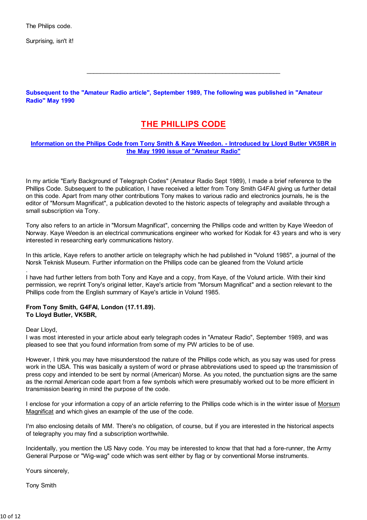The Philips code.

Surprising, isn't it!

Subsequent to the "Amateur Radio article", September 1989, The following was published in "Amateur Radio" May 1990

### **THE PHILLIPS CODE**

#### Information on the Philips Code from Tony Smith & Kaye Weedon. - Introduced by Lloyd Butler VK5BR in the May 1990 issue of "Amateur Radio"

In my article "Early Background of Telegraph Codes" (Amateur Radio Sept 1989). I made a brief reference to the Phillips Code. Subsequent to the publication, I have received a letter from Tony Smith G4FAI giving us further detail on this code. Apart from many other contributions Tony makes to various radio and electronics journals, he is the editor of "Morsum Magnificat", a publication devoted to the historic aspects of telegraphy and available through a small subscription via Tony.

Tony also refers to an article in "Morsum Magnificat", concerning the Phillips code and written by Kaye Weedon of Norway. Kaye Weedon is an electrical communications engineer who worked for Kodak for 43 years and who is very interested in researching early communications history.

In this article, Kaye refers to another article on telegraphy which he had published in "Volund 1985", a journal of the Norsk Teknisk Museum. Further information on the Phillips code can be gleaned from the Volund article

I have had further letters from both Tony and Kaye and a copy, from Kaye, of the Volund article. With their kind permission, we reprint Tony's original letter, Kaye's article from "Morsum Magnificat" and a section relevant to the Phillips code from the English summary of Kaye's article in Volund 1985.

#### From Tony Smith, G4FAI, London (17.11.89). To Lloyd Butler, VK5BR,

Dear Lloyd,

I was most interested in your article about early telegraph codes in "Amateur Radio", September 1989, and was pleased to see that you found information from some of my PW articles to be of use.

However, I think you may have misunderstood the nature of the Phillips code which, as you say was used for press work in the USA. This was basically a system of word or phrase abbreviations used to speed up the transmission of press copy and intended to be sent by normal (American) Morse. As you noted, the punctuation signs are the same as the normal American code apart from a few symbols which were presumably worked out to be more efficient in transmission bearing in mind the purpose of the code.

I enclose for your information a copy of an article referring to the Phillips code which is in the winter issue of Morsum Magnificat and which gives an example of the use of the code.

I'm also enclosing details of MM. There's no obligation, of course, but if you are interested in the historical aspects of telegraphy you may find a subscription worthwhile.

Incidentally, you mention the US Navy code. You may be interested to know that that had a fore-runner, the Army General Purpose or "Wig-wag" code which was sent either by flag or by conventional Morse instruments.

Yours sincerely,

**Tony Smith**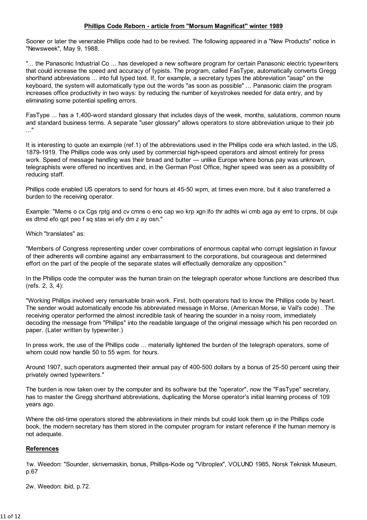#### Phillips Code Reborn - article from "Morsum Magnificat" winter 1989

Sooner or later the venerable Phillips code had to be revived. The following appeared in a "New Products" notice in "Newsweek", May 9, 1988.

"... the Panasonic Industrial Co ... has developed a new software program for certain Panasonic electric typewriters that could increase the speed and accuracy of typists. The program, called FasType, automatically converts Gregg shorthand abbreviations ... into full typed text. If, for example, a secretary types the abbreviation "asap" on the keyboard, the system will automatically type out the words "as soon as possible" ... Panasonic claim the program increases office productivity in two ways: by reducing the number of keystrokes needed for data entry, and by eliminating some potential spelling errors.

FasType ... has a 1,400-word standard glossary that includes days of the week, months, salutations, common nouns and standard business terms. A separate "user glossary" allows operators to store abbreviation unique to their job  $\ldots$ "

It is interesting to quote an example (ref.1) of the abbreviations used in the Phillips code era which lasted, in the US, 1879-1919. The Phillips code was only used by commercial high-speed operators and almost entirely for press work. Speed of message handling was their bread and butter - unlike Europe where bonus pay was unknown, telegraphists were offered no incentives and, in the German Post Office, higher speed was seen as a possibility of reducing staff.

Phillips code enabled US operators to send for hours at 45-50 wpm, at times even more, but it also transferred a burden to the receiving operator.

Example: "Mems o cx Cgs rptg and cv cmns o eno cap wo krp xgn ifo thr adhts wi cmb aga ay emt to crpns, bt cujx es dtmd efo qpt peo f sq stas wi efy dm z ay osn."

Which "translates" as:

"Members of Congress representing under cover combinations of enormous capital who corrupt legislation in favour of their adherents will combine against any embarrassment to the corporations, but courageous and determined effort on the part of the people of the separate states will effectually demoralize any opposition."

In the Phillips code the computer was the human brain on the telegraph operator whose functions are described thus  $(refs. 2, 3, 4)$ :

"Working Phillips involved very remarkable brain work. First, both operators had to know the Phillips code by heart. The sender would automatically encode his abbreviated message in Morse, (American Morse, ie Vail's code). The receiving operator performed the almost incredible task of hearing the sounder in a noisy room, immediately decoding the message from "Phillips" into the readable language of the original message which his pen recorded on paper. (Later written by typewriter.)

In press work, the use of the Phillips code ... materially lightened the burden of the telegraph operators, some of whom could now handle 50 to 55 wpm. for hours.

Around 1907, such operators augmented their annual pay of 400-500 dollars by a bonus of 25-50 percent using their privately owned typewriters."

The burden is now taken over by the computer and its software but the "operator", now the "FasType" secretary, has to master the Gregg shorthand abbreviations, duplicating the Morse operator's initial learning process of 109 vears ago.

Where the old-time operators stored the abbreviations in their minds but could look them up in the Phillips code book, the modern secretary has them stored in the computer program for instant reference if the human memory is not adequate.

#### **References**

1w. Weedon: "Sounder, skrivemaskin, bonus, Phillips-Kode og "Vibroplex", VOLUND 1985, Norsk Teknisk Museum, p.67

2w. Weedon: ibid, p.72.